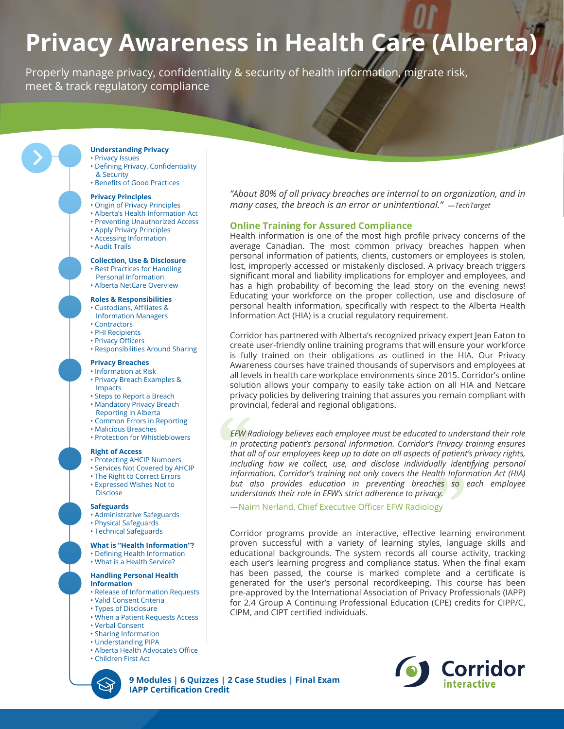# **Privacy Awareness in Health Care (Alberta)**

Properly manage privacy, confidentiality & security of health information, migrate risk, meet & track regulatory compliance

### **Understanding Privacy**

- Privacy Issues
- Defining Privacy, Confidentiality & Security
- Benefits of Good Practices

### **Privacy Principles**

- Origin of Privacy Principles • Alberta's Health Information Act
- Preventing Unauthorized Access
- Apply Privacy Principles
- Accessing Information
- Audit Trails

### **Collection, Use & Disclosure**

- Best Practices for Handling
- Personal Information • Alberta NetCare Overview
- 

## **Roles & Responsibilities**

- Custodians, Affiliates &
- Information Managers
- Contractors
- PHI Recipients • Privacy Officers
- Responsibilities Around Sharing

### **Privacy Breaches**

- Information at Risk • Privacy Breach Examples &
- Impacts
- Steps to Report a Breach • Mandatory Privacy Breach
- Reporting in Alberta
- Common Errors in Reporting
- Malicious Breaches
- Protection for Whistleblowers

### **Right of Access**

- Protecting AHCIP Numbers
- Services Not Covered by AHCIP
- The Right to Correct Errors
- Expressed Wishes Not to Disclose

### **Safeguards**

- Administrative Safeguards
- Physical Safeguards
- Technical Safeguards

**What is "Health Information"?** • Defining Health Information

# • What is a Health Service?

### **Handling Personal Health Information**

- Release of Information Requests
- Valid Consent Criteria
- Types of Disclosure
- When a Patient Requests Access
- Verbal Consent
- Sharing Information
- Understanding PIPA
- Alberta Health Advocate's Office
- Children First Act

*"About 80% of all privacy breaches are internal to an organization, and in many cases, the breach is an error or unintentional." —TechTarget*

### **Online Training for Assured Compliance**

Health information is one of the most high profile privacy concerns of the average Canadian. The most common privacy breaches happen when personal information of patients, clients, customers or employees is stolen, lost, improperly accessed or mistakenly disclosed. A privacy breach triggers significant moral and liability implications for employer and employees, and has a high probability of becoming the lead story on the evening news! Educating your workforce on the proper collection, use and disclosure of personal health information, specifically with respect to the Alberta Health Information Act (HIA) is a crucial regulatory requirement.

Corridor has partnered with Alberta's recognized privacy expert Jean Eaton to create user-friendly online training programs that will ensure your workforce is fully trained on their obligations as outlined in the HIA. Our Privacy Awareness courses have trained thousands of supervisors and employees at all levels in health care workplace environments since 2015. Corridor's online solution allows your company to easily take action on all HIA and Netcare privacy policies by delivering training that assures you remain compliant with provincial, federal and regional obligations.

*EFW Radiology believes each employee must be educated to understand their role in protecting patient's personal information. Corridor's Privacy training ensures that all of our employees keep up to date on all aspects of patient's privacy rights, including how we collect, use, and disclose individually identifying personal information. Corridor's training not only covers the Health Information Act (HIA) but also provides education in preventing breaches so each employee understands their role in EFW's strict adherence to privacy.*

—Nairn Nerland, Chief Executive Officer EFW Radiology

Corridor programs provide an interactive, effective learning environment proven successful with a variety of learning styles, language skills and educational backgrounds. The system records all course activity, tracking each user's learning progress and compliance status. When the final exam has been passed, the course is marked complete and a certificate is generated for the user's personal recordkeeping. This course has been pre-approved by the International Association of Privacy Professionals (IAPP) for 2.4 Group A Continuing Professional Education (CPE) credits for CIPP/C, CIPM, and CIPT certified individuals.



**9 Modules | 6 Quizzes | 2 Case Studies | Final Exam IAPP Certification Credit**